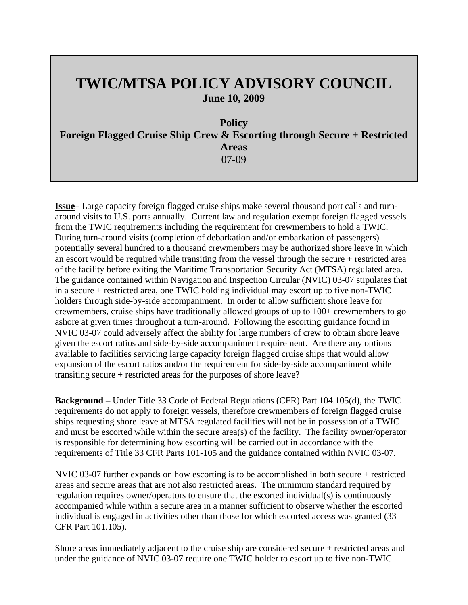## **TWIC/MTSA POLICY ADVISORY COUNCIL June 10, 2009**

**Policy** 

**Foreign Flagged Cruise Ship Crew & Escorting through Secure + Restricted Areas**  07-09

**Issue–** Large capacity foreign flagged cruise ships make several thousand port calls and turnaround visits to U.S. ports annually. Current law and regulation exempt foreign flagged vessels from the TWIC requirements including the requirement for crewmembers to hold a TWIC. During turn-around visits (completion of debarkation and/or embarkation of passengers) potentially several hundred to a thousand crewmembers may be authorized shore leave in which an escort would be required while transiting from the vessel through the secure + restricted area of the facility before exiting the Maritime Transportation Security Act (MTSA) regulated area. The guidance contained within Navigation and Inspection Circular (NVIC) 03-07 stipulates that in a secure + restricted area, one TWIC holding individual may escort up to five non-TWIC holders through side-by-side accompaniment. In order to allow sufficient shore leave for crewmembers, cruise ships have traditionally allowed groups of up to 100+ crewmembers to go ashore at given times throughout a turn-around. Following the escorting guidance found in NVIC 03-07 could adversely affect the ability for large numbers of crew to obtain shore leave given the escort ratios and side-by-side accompaniment requirement. Are there any options available to facilities servicing large capacity foreign flagged cruise ships that would allow expansion of the escort ratios and/or the requirement for side-by-side accompaniment while transiting secure + restricted areas for the purposes of shore leave?

**Background –** Under Title 33 Code of Federal Regulations (CFR) Part 104.105(d), the TWIC requirements do not apply to foreign vessels, therefore crewmembers of foreign flagged cruise ships requesting shore leave at MTSA regulated facilities will not be in possession of a TWIC and must be escorted while within the secure area(s) of the facility. The facility owner/operator is responsible for determining how escorting will be carried out in accordance with the requirements of Title 33 CFR Parts 101-105 and the guidance contained within NVIC 03-07.

NVIC 03-07 further expands on how escorting is to be accomplished in both secure + restricted areas and secure areas that are not also restricted areas. The minimum standard required by regulation requires owner/operators to ensure that the escorted individual(s) is continuously accompanied while within a secure area in a manner sufficient to observe whether the escorted individual is engaged in activities other than those for which escorted access was granted (33 CFR Part 101.105).

Shore areas immediately adjacent to the cruise ship are considered secure + restricted areas and under the guidance of NVIC 03-07 require one TWIC holder to escort up to five non-TWIC